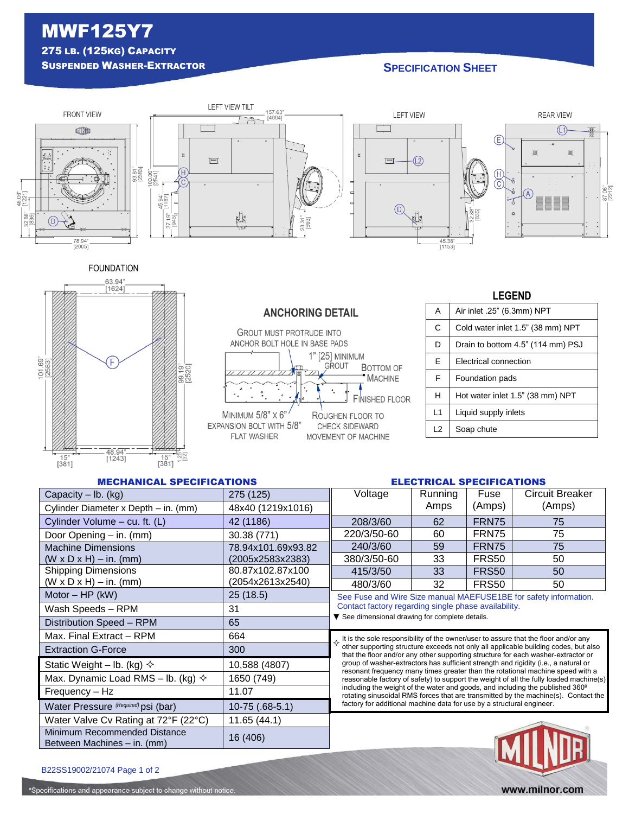# MWF125Y7 275 LB. (125KG) CAPACITY

## **SUSPENDED WASHER-EXTRACTOR SPECIFICATION SPECIFICATION**



FOUNDATION





### **GROUT MUST PROTRUDE INTO** ANCHOR BOLT HOLE IN BASE PADS 1" [25] MINIMUM GROUT **BOTTOM OF** MACHINE ٠.  $\frac{4}{a}$  $\lambda$ **FINISHED FLOOR** MINIMUM 5/8" X 6" ROUGHEN FLOOR TO EXPANSION BOLT WITH 5/8" CHECK SIDEWARD FLAT WASHER MOVEMENT OF MACHINE

**ANCHORING DETAIL** 

## **LEGEND** A | Air inlet .25" (6.3mm) NPT C Cold water inlet 1.5" (38 mm) NPT D | Drain to bottom 4.5" (114 mm) PSJ E | Electrical connection F | Foundation pads H Hot water inlet 1.5" (38 mm) NPT L1 | Liquid supply inlets L<sub>2</sub> Soap chute

### MECHANICAL SPECIFICATIONS ELECTRICAL SPECIFICATIONS

| Capacity $-$ lb. (kg)                                       | 275 (125)          | Voltage                                                                                                                                                                                                                                                                                                                                                                                                                                                                                                                                                                                                                                                                                                                                                                                     | Running | Fuse         | <b>Circuit Breaker</b> |
|-------------------------------------------------------------|--------------------|---------------------------------------------------------------------------------------------------------------------------------------------------------------------------------------------------------------------------------------------------------------------------------------------------------------------------------------------------------------------------------------------------------------------------------------------------------------------------------------------------------------------------------------------------------------------------------------------------------------------------------------------------------------------------------------------------------------------------------------------------------------------------------------------|---------|--------------|------------------------|
| Cylinder Diameter x Depth - in. (mm)                        | 48x40 (1219x1016)  |                                                                                                                                                                                                                                                                                                                                                                                                                                                                                                                                                                                                                                                                                                                                                                                             | Amps    | (Amps)       | (Amps)                 |
| Cylinder Volume - cu. ft. (L)                               | 42 (1186)          | 208/3/60                                                                                                                                                                                                                                                                                                                                                                                                                                                                                                                                                                                                                                                                                                                                                                                    | 62      | FRN75        | 75                     |
| Door Opening - in. (mm)                                     | 30.38 (771)        | 220/3/50-60                                                                                                                                                                                                                                                                                                                                                                                                                                                                                                                                                                                                                                                                                                                                                                                 | 60      | FRN75        | 75                     |
| <b>Machine Dimensions</b>                                   | 78.94x101.69x93.82 | 240/3/60                                                                                                                                                                                                                                                                                                                                                                                                                                                                                                                                                                                                                                                                                                                                                                                    | 59      | FRN75        | 75                     |
| $(W \times D \times H) - in.$ (mm)                          | (2005x2583x2383)   | 380/3/50-60                                                                                                                                                                                                                                                                                                                                                                                                                                                                                                                                                                                                                                                                                                                                                                                 | 33      | FRS50        | 50                     |
| <b>Shipping Dimensions</b>                                  | 80.87x102.87x100   | 415/3/50                                                                                                                                                                                                                                                                                                                                                                                                                                                                                                                                                                                                                                                                                                                                                                                    | 33      | <b>FRS50</b> | 50                     |
| $(W \times D \times H) - in.$ (mm)                          | (2054x2613x2540)   | 480/3/60                                                                                                                                                                                                                                                                                                                                                                                                                                                                                                                                                                                                                                                                                                                                                                                    | 32      | FRS50        | 50                     |
| Motor $-$ HP (kW)                                           | 25(18.5)           | See Fuse and Wire Size manual MAEFUSE1BE for safety information.<br>Contact factory regarding single phase availability.<br>▼ See dimensional drawing for complete details.                                                                                                                                                                                                                                                                                                                                                                                                                                                                                                                                                                                                                 |         |              |                        |
| Wash Speeds - RPM                                           | 31                 |                                                                                                                                                                                                                                                                                                                                                                                                                                                                                                                                                                                                                                                                                                                                                                                             |         |              |                        |
| Distribution Speed - RPM                                    | 65                 |                                                                                                                                                                                                                                                                                                                                                                                                                                                                                                                                                                                                                                                                                                                                                                                             |         |              |                        |
| Max. Final Extract - RPM                                    | 664                | It is the sole responsibility of the owner/user to assure that the floor and/or any other supporting structure exceeds not only all applicable building codes, but also<br>that the floor and/or any other supporting structure for each washer-extractor or<br>group of washer-extractors has sufficient strength and rigidity (i.e., a natural or<br>resonant frequency many times greater than the rotational machine speed with a<br>reasonable factory of safety) to support the weight of all the fully loaded machine(s)<br>including the weight of the water and goods, and including the published 360 <sup>o</sup><br>rotating sinusoidal RMS forces that are transmitted by the machine(s). Contact the<br>factory for additional machine data for use by a structural engineer. |         |              |                        |
| <b>Extraction G-Force</b>                                   | 300                |                                                                                                                                                                                                                                                                                                                                                                                                                                                                                                                                                                                                                                                                                                                                                                                             |         |              |                        |
| Static Weight – lb. (kg) $\diamond$                         | 10,588 (4807)      |                                                                                                                                                                                                                                                                                                                                                                                                                                                                                                                                                                                                                                                                                                                                                                                             |         |              |                        |
| Max. Dynamic Load RMS – lb. (kg) $\diamondsuit$             | 1650 (749)         |                                                                                                                                                                                                                                                                                                                                                                                                                                                                                                                                                                                                                                                                                                                                                                                             |         |              |                        |
| Frequency - Hz                                              | 11.07              |                                                                                                                                                                                                                                                                                                                                                                                                                                                                                                                                                                                                                                                                                                                                                                                             |         |              |                        |
| Water Pressure (Required) psi (bar)                         | 10-75 (.68-5.1)    |                                                                                                                                                                                                                                                                                                                                                                                                                                                                                                                                                                                                                                                                                                                                                                                             |         |              |                        |
| Water Valve Cv Rating at 72°F (22°C)                        | 11.65(44.1)        |                                                                                                                                                                                                                                                                                                                                                                                                                                                                                                                                                                                                                                                                                                                                                                                             |         |              |                        |
| Minimum Recommended Distance<br>Between Machines - in. (mm) | 16 (406)           |                                                                                                                                                                                                                                                                                                                                                                                                                                                                                                                                                                                                                                                                                                                                                                                             |         |              |                        |